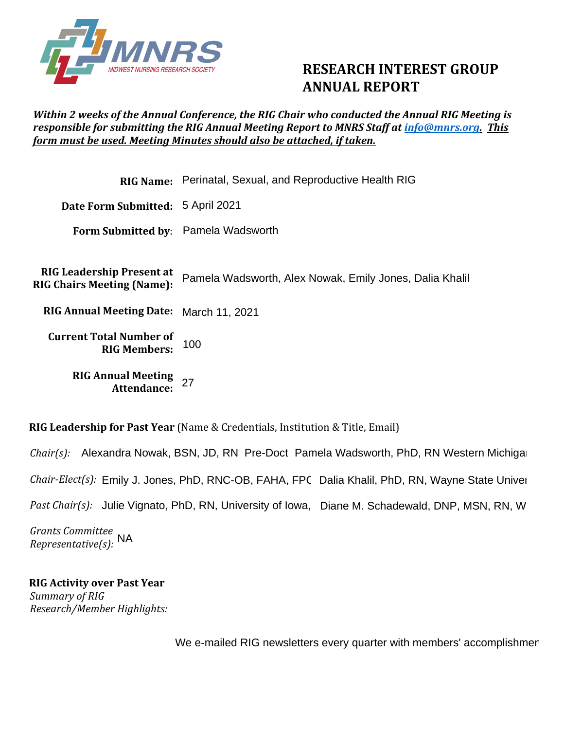

## **RESEARCH INTEREST GROUP ANNUAL REPORT**

## *Within 2 weeks of the Annual Conference, the RIG Chair who conducted the Annual RIG Meeting is responsible for submitting the RIG Annual Meeting Report to MNRS Staff at [info@mnrs.org.](mailto:info@mnrs.org) This form must be used. Meeting Minutes should also be attached, if taken.*

|                                                                                      | <b>RIG Name:</b> Perinatal, Sexual, and Reproductive Health RIG                           |
|--------------------------------------------------------------------------------------|-------------------------------------------------------------------------------------------|
| Date Form Submitted: 5 April 2021                                                    |                                                                                           |
| Form Submitted by: Pamela Wadsworth                                                  |                                                                                           |
| <b>RIG Leadership Present at</b><br><b>RIG Chairs Meeting (Name):</b>                | Pamela Wadsworth, Alex Nowak, Emily Jones, Dalia Khalil                                   |
| RIG Annual Meeting Date: March 11, 2021                                              |                                                                                           |
| <b>Current Total Number of</b><br><b>RIG Members:</b>                                | 100                                                                                       |
| <b>RIG Annual Meeting</b><br>Attendance:                                             | 27                                                                                        |
| <b>RIG Leadership for Past Year</b> (Name & Credentials, Institution & Title, Email) |                                                                                           |
|                                                                                      | Chair(s): Alexandra Nowak, BSN, JD, RN Pre-Doct Pamela Wadsworth, PhD, RN Western Michiga |

*Chair-Elect(s):*  Pamela Wadsworth, PhD, RN Western Michiga<br>FPC Dalia Khalil, PhD, RN, Wayne State Univer<br>wa, Diane M. Schadewald, DNP, MSN, RN, Wl

*Chair-Elect(s):* Emily J. Jones, PhD, RNC-OB, FAHA, FPC Dalia Khalil, PhD, RN, Wayne State Univer<br>*Past Chair(s):* Julie Vignato, PhD, RN, University of Iowa, Diane M. Schadewald, DNP, MSN, RN, Wl

*Grants Committee Representative(s):*  NA

**RIG Activity over Past Year**  *Summary of RIG Research/Member Highlights:* 

We e-mailed RIG newsletters every quarter with members' accomplishmen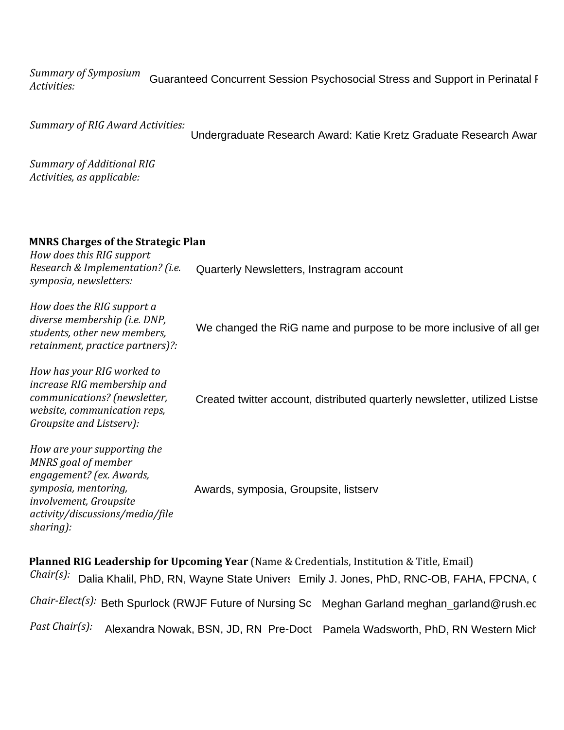*Summary of Symposium Activities:*  Guaranteed Concurrent Session Psychosocial Stress and Support in Perinatal F

*Summary of RIG Award Activities:* 

Undergraduate Research Award: Katie Kretz Graduate Research Awar

*Summary of Additional RIG Activities, as applicable:*

## **MNRS Charges of the Strategic Plan**

*How does this RIG support Research & Implementation? (i.e. symposia, newsletters:*

*How does the RIG support a diverse membership (i.e. DNP, students, other new members, retainment, practice partners)?:* Quarterly Newsletters, Instragram account<br>We changed the RiG name and purpose to be more inclusive of all ger<br>Created twitter account, distributed quarterly newsletter, utilized Listse

*How has your RIG worked to increase RIG membership and communications? (newsletter, website, communication reps, Groupsite and Listserv):*

*How are your supporting the MNRS goal of member engagement? (ex. Awards, symposia, mentoring, involvement, Groupsite activity/discussions/media/file sharing):* Awards, symposia, Groupsite, listserv

**Planned RIG Leadership for Upcoming Year** (Name & Credentials, Institution & Title, Email) Chair(s): Dalia Khalil, PhD, RN, Wayne State Univers Emily J. Jones, PhD, RNC-OB, FAHA, FPCNA, ( *Chair-Elect(s): Past Chair(s):*  Dalia Khalil, PhD, RN, Wayne State Univers Emily J. Jones, PhD, RNC-OB, FAHA, FPCNA, (<br>*t(s):* Beth Spurlock (RWJF Future of Nursing Sc Meghan Garland meghan\_garland@rush.ec<br>*(s):* Alexandra Nowak, BSN, JD, RN Pre-Doct Pam